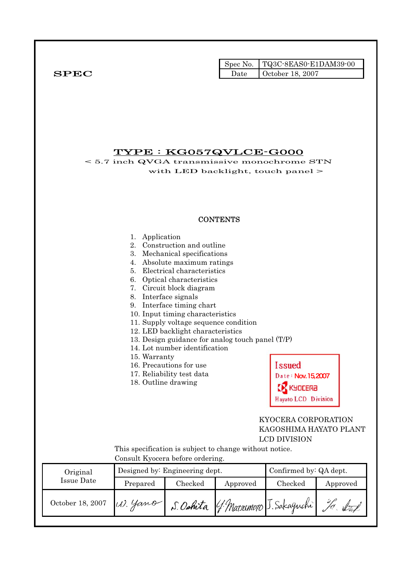|              |      | Spec No. $\vert$ TQ3C-8EAS0-E1DAM39-00 |
|--------------|------|----------------------------------------|
| ${\bf SPEC}$ | Date | October 18, 2007                       |

# TYPE : KG057QVLCE-G000

< 5.7 inch QVGA transmissive monochrome STN with LED backlight, touch panel >

### **CONTENTS**

|                   | Application<br>1.<br>2.<br>3.<br>4.<br>5.<br>6.<br>7.                                       | Construction and outline<br>Mechanical specifications<br>Absolute maximum ratings<br>Electrical characteristics<br>Optical characteristics<br>Circuit block diagram<br>8. Interface signals<br>9. Interface timing chart<br>10. Input timing characteristics<br>11. Supply voltage sequence condition<br>12. LED backlight characteristics<br>13. Design guidance for analog touch panel (T/P)<br>14. Lot number identification<br>15. Warranty<br><b>Issued</b><br>16. Precautions for use<br>17. Reliability test data<br>Date: Nov. 15,2007<br>18. Outline drawing<br>KYOCERƏ<br>Hayato LCD Division<br>KYOCERA CORPORATION<br>KAGOSHIMA HAYATO PLANT |                                       |                     |                        |  |  |
|-------------------|---------------------------------------------------------------------------------------------|----------------------------------------------------------------------------------------------------------------------------------------------------------------------------------------------------------------------------------------------------------------------------------------------------------------------------------------------------------------------------------------------------------------------------------------------------------------------------------------------------------------------------------------------------------------------------------------------------------------------------------------------------------|---------------------------------------|---------------------|------------------------|--|--|
|                   |                                                                                             |                                                                                                                                                                                                                                                                                                                                                                                                                                                                                                                                                                                                                                                          |                                       | <b>LCD DIVISION</b> |                        |  |  |
|                   | This specification is subject to change without notice.<br>Consult Kyocera before ordering. |                                                                                                                                                                                                                                                                                                                                                                                                                                                                                                                                                                                                                                                          |                                       |                     |                        |  |  |
| Original          |                                                                                             | Designed by: Engineering dept.                                                                                                                                                                                                                                                                                                                                                                                                                                                                                                                                                                                                                           |                                       |                     | Confirmed by: QA dept. |  |  |
| <b>Issue Date</b> | Prepared                                                                                    | Checked                                                                                                                                                                                                                                                                                                                                                                                                                                                                                                                                                                                                                                                  | Approved                              | Checked             | Approved               |  |  |
| October 18, 2007  | U).                                                                                         |                                                                                                                                                                                                                                                                                                                                                                                                                                                                                                                                                                                                                                                          | S. Oshita (J. Matrimoto J. Sakaguchi) |                     |                        |  |  |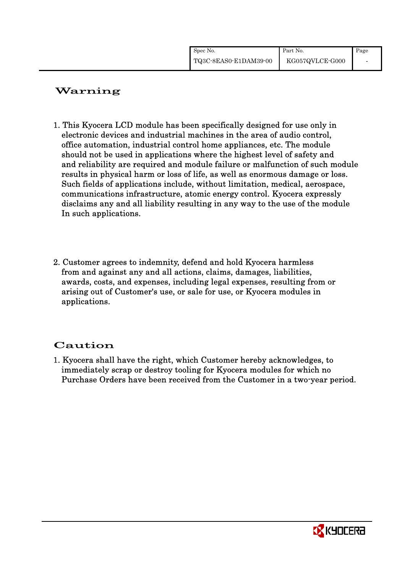| Spec No.              | Part No.        | Page |
|-----------------------|-----------------|------|
| TQ3C-8EAS0-E1DAM39-00 | KG057QVLCE-G000 |      |

# Warning

- 1. This Kyocera LCD module has been specifically designed for use only in electronic devices and industrial machines in the area of audio control, office automation, industrial control home appliances, etc. The module should not be used in applications where the highest level of safety and and reliability are required and module failure or malfunction of such module results in physical harm or loss of life, as well as enormous damage or loss. Such fields of applications include, without limitation, medical, aerospace, communications infrastructure, atomic energy control. Kyocera expressly disclaims any and all liability resulting in any way to the use of the module In such applications.
- 2. Customer agrees to indemnity, defend and hold Kyocera harmless from and against any and all actions, claims, damages, liabilities, awards, costs, and expenses, including legal expenses, resulting from or arising out of Customer's use, or sale for use, or Kyocera modules in applications.

# Caution

1. Kyocera shall have the right, which Customer hereby acknowledges, to immediately scrap or destroy tooling for Kyocera modules for which no Purchase Orders have been received from the Customer in a two-year period.

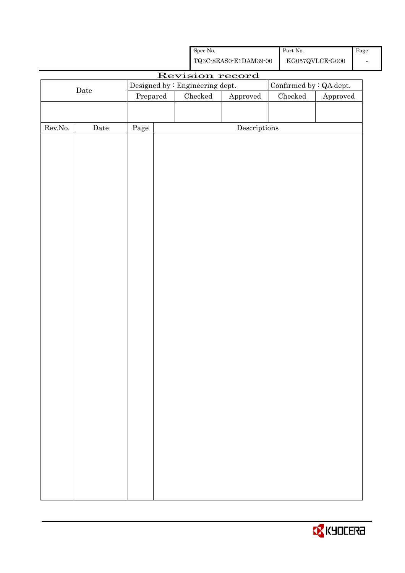|         |      |                                 |  | Spec No.      |                                                    | Part No.        |                                 | Page |
|---------|------|---------------------------------|--|---------------|----------------------------------------------------|-----------------|---------------------------------|------|
|         |      |                                 |  |               | ${\bf TQ3C\text{-}SEAS0\text{-}E1DAM39\text{-}00}$ |                 | ${\rm KG057Q VLCE\mbox{-}G000}$ |      |
|         |      |                                 |  |               | Revision record                                    |                 |                                 |      |
|         |      | Designed by : Engineering dept. |  |               |                                                    |                 | Confirmed by : QA dept.         |      |
|         | Date | Prepared                        |  | $\rm Checked$ | Approved                                           | ${\it Checked}$ | Approved                        |      |
|         |      |                                 |  |               |                                                    |                 |                                 |      |
|         |      |                                 |  |               |                                                    |                 |                                 |      |
| Rev.No. | Date | Page                            |  |               | $\label{eq:2} \textbf{Descriptions}$               |                 |                                 |      |
|         |      |                                 |  |               |                                                    |                 |                                 |      |
|         |      |                                 |  |               |                                                    |                 |                                 |      |
|         |      |                                 |  |               |                                                    |                 |                                 |      |
|         |      |                                 |  |               |                                                    |                 |                                 |      |
|         |      |                                 |  |               |                                                    |                 |                                 |      |
|         |      |                                 |  |               |                                                    |                 |                                 |      |
|         |      |                                 |  |               |                                                    |                 |                                 |      |
|         |      |                                 |  |               |                                                    |                 |                                 |      |
|         |      |                                 |  |               |                                                    |                 |                                 |      |
|         |      |                                 |  |               |                                                    |                 |                                 |      |
|         |      |                                 |  |               |                                                    |                 |                                 |      |
|         |      |                                 |  |               |                                                    |                 |                                 |      |
|         |      |                                 |  |               |                                                    |                 |                                 |      |
|         |      |                                 |  |               |                                                    |                 |                                 |      |
|         |      |                                 |  |               |                                                    |                 |                                 |      |
|         |      |                                 |  |               |                                                    |                 |                                 |      |
|         |      |                                 |  |               |                                                    |                 |                                 |      |
|         |      |                                 |  |               |                                                    |                 |                                 |      |
|         |      |                                 |  |               |                                                    |                 |                                 |      |
|         |      |                                 |  |               |                                                    |                 |                                 |      |
|         |      |                                 |  |               |                                                    |                 |                                 |      |
|         |      |                                 |  |               |                                                    |                 |                                 |      |
|         |      |                                 |  |               |                                                    |                 |                                 |      |
|         |      |                                 |  |               |                                                    |                 |                                 |      |
|         |      |                                 |  |               |                                                    |                 |                                 |      |
|         |      |                                 |  |               |                                                    |                 |                                 |      |
|         |      |                                 |  |               |                                                    |                 |                                 |      |
|         |      |                                 |  |               |                                                    |                 |                                 |      |
|         |      |                                 |  |               |                                                    |                 |                                 |      |
|         |      |                                 |  |               |                                                    |                 |                                 |      |
|         |      |                                 |  |               |                                                    |                 |                                 |      |
|         |      |                                 |  |               |                                                    |                 |                                 |      |
|         |      |                                 |  |               |                                                    |                 |                                 |      |
|         |      |                                 |  |               |                                                    |                 |                                 |      |

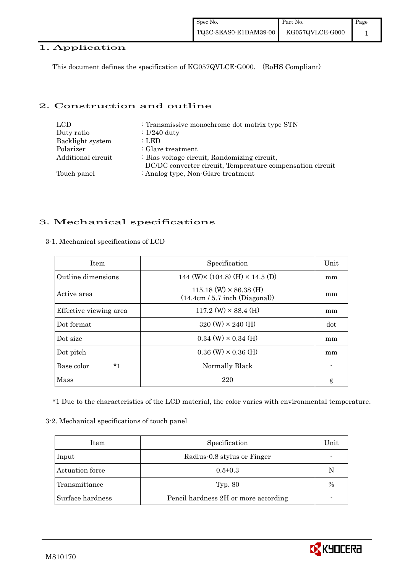## 1. Application

This document defines the specification of KG057QVLCE-G000. (RoHS Compliant)

### 2. Construction and outline

| LCD.               | : Transmissive monochrome dot matrix type STN             |
|--------------------|-----------------------------------------------------------|
| Duty ratio         | $\therefore$ 1/240 duty                                   |
| Backlight system   | : LED                                                     |
| Polarizer          | $\therefore$ Glare treatment                              |
| Additional circuit | : Bias voltage circuit, Randomizing circuit,              |
|                    | DC/DC converter circuit, Temperature compensation circuit |
| Touch panel        | : Analog type, Non-Glare treatment                        |

## 3. Mechanical specifications

| <b>Item</b>            | Specification                                                     | Unit |
|------------------------|-------------------------------------------------------------------|------|
| Outline dimensions     | 144 (W) $\times$ (104.8) (H) $\times$ 14.5 (D)                    | mm   |
| Active area            | $115.18$ (W) $\times$ 86.38 (H)<br>(14.4cm / 5.7 inch (Diagonal)) | mm   |
| Effective viewing area | $117.2$ (W) $\times$ 88.4 (H)                                     | mm   |
| Dot format             | $320 \text{ (W)} \times 240 \text{ (H)}$                          | dot  |
| Dot size               | $0.34$ (W) $\times$ 0.34 (H)                                      | mm   |
| Dot pitch              | $0.36$ (W) $\times$ 0.36 (H)                                      | mm   |
| $*1$<br>Base color     | Normally Black                                                    |      |
| Mass                   | 220                                                               | g    |

3-1. Mechanical specifications of LCD

\*1 Due to the characteristics of the LCD material, the color varies with environmental temperature.

#### 3-2. Mechanical specifications of touch panel

| Item             | Specification                        | Unit |
|------------------|--------------------------------------|------|
| Input            | Radius-0.8 stylus or Finger          |      |
| Actuation force  | $0.5 \pm 0.3$                        | N    |
| Transmittance    | Typ. 80                              | $\%$ |
| Surface hardness | Pencil hardness 2H or more according |      |

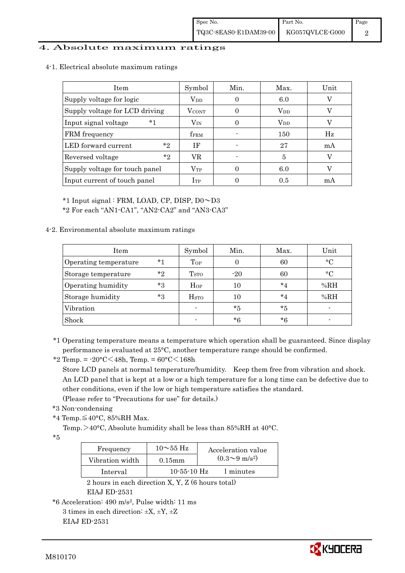### 4. Absolute maximum ratings

4-1. Electrical absolute maximum ratings

| Item                           | Symbol            | Min. | Max.         | Unit |
|--------------------------------|-------------------|------|--------------|------|
| Supply voltage for logic       | $V_{DD}$          |      | 6.0          |      |
| Supply voltage for LCD driving | $V_{\text{CONT}}$ |      | $\rm V_{DD}$ |      |
| Input signal voltage<br>*1     | $\rm V_{\rm IN}$  |      | $\rm V_{DD}$ |      |
| FRM frequency                  | <b>fFRM</b>       |      | 150          | Hz   |
| $*_{2}$<br>LED forward current | ΙF                |      | 27           | mA   |
| $*_{2}$<br>Reversed voltage    | VR                |      | 5            |      |
| Supply voltage for touch panel | $\rm V_{TP}$      |      | 6.0          |      |
| Input current of touch panel   | $I_{TP}$          |      | 0.5          | mA   |

\*1 Input signal : FRM, LOAD, CP, DISP, D0~D3

\*2 For each "AN1-CA1", "AN2-CA2" and "AN3-CA3"

### 4-2. Environmental absolute maximum ratings

| Item                  |         | Symbol            | Min.     | Max.    | Unit      |
|-----------------------|---------|-------------------|----------|---------|-----------|
| Operating temperature | $*1$    | $\mathrm{T_{OP}}$ | $\theta$ | 60      | $\circ$ C |
| Storage temperature   | $*_{2}$ | T <sub>STO</sub>  | $-20$    | 60      | $\circ$ C |
| Operating humidity    | $*_{3}$ | Hop               | 10       | $*_{4}$ | %RH       |
| Storage humidity      | $*_{3}$ | H <sub>STO</sub>  | 10       | $*_{4}$ | %RH       |
| Vibration             |         | $\blacksquare$    | $*_{5}$  | $*_{5}$ |           |
| Shock                 |         |                   | *6       | *6      |           |

\*1 Operating temperature means a temperature which operation shall be guaranteed. Since display performance is evaluated at 25°C, another temperature range should be confirmed.

\*2 Temp. = -20°C<48h, Temp. = 60°C<168h

 Store LCD panels at normal temperature/humidity. Keep them free from vibration and shock. An LCD panel that is kept at a low or a high temperature for a long time can be defective due to other conditions, even if the low or high temperature satisfies the standard.

(Please refer to "Precautions for use" for details.)

```
 *3 Non-condensing
```
\*4 Temp. $\leq$ 40°C, 85%RH Max.

Temp. >40°C, Absolute humidity shall be less than 85%RH at 40°C.

\*5

| Frequency       | $10\sim 55$ Hz    | Acceleration value           |
|-----------------|-------------------|------------------------------|
| Vibration width | $0.15$ mm         | $(0.3 \sim 9 \text{ m/s}^2)$ |
| Interval        | $10 - 55 - 10$ Hz | 1 minutes                    |

 2 hours in each direction X, Y, Z (6 hours total) EIAJ ED-2531

```
3 times in each direction: \pm X, \pm Y, \pm Z
```
EIAJ ED-2531



<sup>\*6</sup> Acceleration: 490 m/s2, Pulse width: 11 ms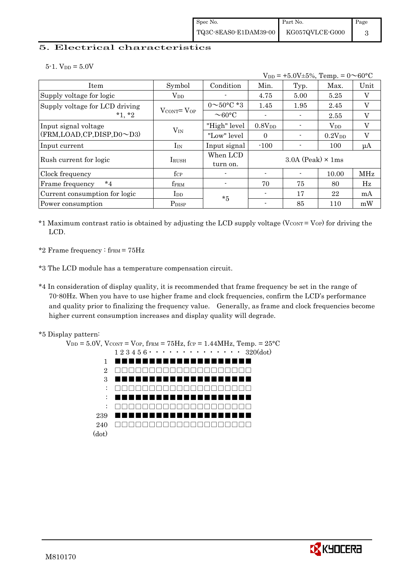### 5. Electrical characteristics

 $5-1.$  V<sub>DD</sub> =  $5.0V$ 

 $V_{DD} = +5.0V \pm 5\%,$  Temp. =  $0 \sim 60^{\circ}$ C Item Symbol Condition Min. Typ. Max. Unit Supply voltage for logic  $V_{DD}$   $V_{0}$   $4.75$   $5.00$   $5.25$  V Supply voltage for LCD driving 0~50°C \*3 1.45 1.95 2.45 V  $*1, *2$  VCONT= VOP  $\overline{0.60^{\circ}C}$  -  $1.15$  1.1.69 2.1.6  $\frac{1}{2}$  Input signal voltage  $\frac{1}{2}$   $\frac{1}{2}$   $\frac{1}{2}$   $\frac{1}{2}$   $\frac{1}{2}$   $\frac{1}{2}$   $\frac{1}{2}$   $\frac{1}{2}$   $\frac{1}{2}$   $\frac{1}{2}$   $\frac{1}{2}$   $\frac{1}{2}$   $\frac{1}{2}$   $\frac{1}{2}$   $\frac{1}{2}$   $\frac{1}{2}$   $\frac{1}{2}$   $\frac{1}{2}$   $\frac{1}{2}$  (FRM,LOAD,CP,DISP,D0~D3) VIN "Low" level 0 - 0.2VDD V Input current  $I_{\text{IN}}$   $I_{\text{IN}}$   $I_{\text{Input signal}}$  -100  $\blacksquare$  - 100  $\blacksquare$   $\uparrow$   $\uparrow$  100  $\blacksquare$ Rush current for logic  $I_{\text{RUSH}}$ When LCD turn on.  $3.0A$  (Peak)  $\times$  1ms Clock frequency  $f_{CP}$   $f_{CP}$  -  $\vert$  -  $\vert$  -  $\vert$  10.00  $\vert$  MHz Frame frequency  $*4$  | f<sub>FRM</sub> |  $-$  | 70 | 75 | 80 | Hz Current consumption for logic IDD - 17 22 mA Power consumption PDISP \*5 - | 85 | 110 | mW

- \*1 Maximum contrast ratio is obtained by adjusting the LCD supply voltage ( $V_{\text{CONT}} = V_{\text{OP}}$ ) for driving the LCD.
- \*2 Frame frequency :  $f_{\text{FRM}} = 75 \text{Hz}$
- \*3 The LCD module has a temperature compensation circuit.
- \*4 In consideration of display quality, it is recommended that frame frequency be set in the range of 70-80Hz. When you have to use higher frame and clock frequencies, confirm the LCD's performance and quality prior to finalizing the frequency value. Generally, as frame and clock frequencies become higher current consumption increases and display quality will degrade.



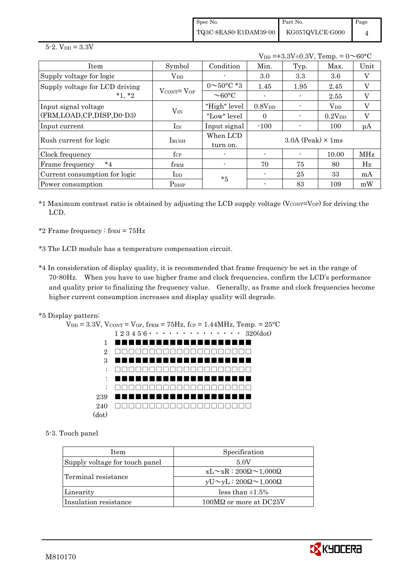Spec No. TQ3C-8EAS0-E1DAM39-00 Part No. KG057QVLCE-G000 Page 4

 $5 - 2.$  V<sub>DD</sub> =  $3.3V$ 

 $V_{DD} = +3.3V \pm 0.3V$ , Temp. =  $0 \sim 60^{\circ}$ C

| Item                           | Symbol                            | Condition                | Min.               | Typ.                       | Max.               | Unit                      |
|--------------------------------|-----------------------------------|--------------------------|--------------------|----------------------------|--------------------|---------------------------|
| Supply voltage for logic       | $\rm V_{DD}$                      |                          | 3.0                | 3.3                        | 3.6                | $\boldsymbol{\mathrm{V}}$ |
| Supply voltage for LCD driving |                                   | $0 \sim 50^{\circ}$ C *3 | 1.45               | 1.95                       | 2.45               | V                         |
| $*1, *2$                       | $V_{\text{CONT}} = V_{\text{OP}}$ | $\sim$ 60 $\degree$ C    |                    |                            | 2.55               | V                         |
| Input signal voltage           |                                   | "High" level             | 0.8V <sub>DD</sub> |                            | $\rm V_{DD}$       | V                         |
| (FRM,LOAD,CP,DISP,D0-D3)       | $V_{IN}$                          | "Low" level              | $\Omega$           |                            | 0.2V <sub>DD</sub> | V                         |
| Input current                  | $I_{IN}$                          | Input signal             | $-100$             |                            | 100                | $\mu A$                   |
| Rush current for logic         | <b>I</b> RUSH                     | When LCD                 |                    | $3.0A$ (Peak) $\times$ 1ms |                    |                           |
|                                |                                   | turn on.                 |                    |                            |                    |                           |
| Clock frequency                | $f_{\rm CP}$                      |                          |                    |                            | 10.00              | <b>MHz</b>                |
| $*_{4}$<br>Frame frequency     | $f_{\rm FRM}$                     |                          | 70                 | 75                         | 80                 | Hz                        |
| Current consumption for logic  | $_{\rm{LDD}}$                     | $*5$                     |                    | 25                         | 33                 | mA                        |
| Power consumption              | P <sub>DISP</sub>                 |                          |                    | 83                         | 109                | mW                        |

 $*1$  Maximum contrast ratio is obtained by adjusting the LCD supply voltage (V $_{\text{CONT}}$ =V<sub>OP</sub>) for driving the LCD.

\*2 Frame frequency :  $f_{\text{FRM}} = 75 \text{Hz}$ 

- \*3 The LCD module has a temperature compensation circuit.
- \*4 In consideration of display quality, it is recommended that frame frequency be set in the range of 70-80Hz. When you have to use higher frame and clock frequencies, confirm the LCD's performance and quality prior to finalizing the frequency value. Generally, as frame and clock frequencies become higher current consumption increases and display quality will degrade.
- \*5 Display pattern:



5-3. Touch panel

| Item                           | Specification                             |
|--------------------------------|-------------------------------------------|
| Supply voltage for touch panel | 5.0V                                      |
|                                | $xL \sim xR : 200\Omega \sim 1,000\Omega$ |
| Terminal resistance            | $yU \sim yL : 200\Omega \sim 1,000\Omega$ |
| Linearity                      | less than $\pm 1.5\%$                     |
| Insulation resistance          | $100\text{M}\Omega$ or more at DC25V      |

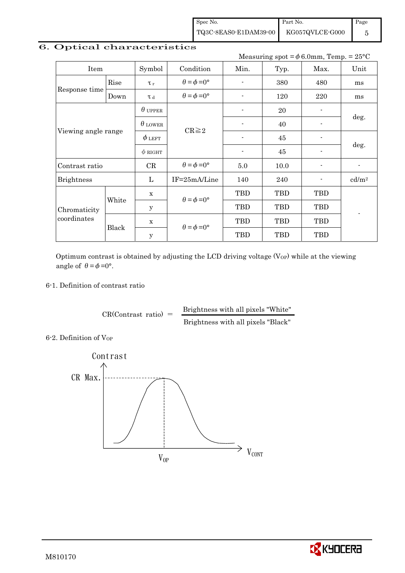Spec No. TQ3C-8EAS0-E1DAM39-00 Part No. KG057QVLCE-G000 Page 5

# 6. Optical characteristics

Measuring spot =  $\phi$  6.0mm, Temp. = 25°C

| Item                        |                                            | Symbol         | Condition                   | Min.       | Typ.       | Max.           | Unit                     |  |
|-----------------------------|--------------------------------------------|----------------|-----------------------------|------------|------------|----------------|--------------------------|--|
|                             | Rise                                       | $\tau_r$       | $\theta = \phi = 0^{\circ}$ |            | 380        | 480            | ms                       |  |
| Response time               | $\theta = \phi = 0^{\circ}$<br>Down<br>T d |                | 120                         | 220        | ms         |                |                          |  |
|                             |                                            | $\theta$ upper |                             |            | 20         | $\blacksquare$ |                          |  |
| Viewing angle range         |                                            | $\theta$ lower | $CR \geq 2$                 |            | 40         |                | deg.                     |  |
|                             |                                            | $\phi$ left    |                             |            | 45         |                | deg.                     |  |
|                             |                                            | $\phi$ RIGHT   |                             |            | 45         |                |                          |  |
| Contrast ratio              |                                            | CR             | $\theta = \phi = 0^{\circ}$ | 5.0        | 10.0       |                | $\overline{\phantom{a}}$ |  |
| <b>Brightness</b>           |                                            | L              | $IF = 25mA/Line$            | 140        | 240        |                | cd/m <sup>2</sup>        |  |
|                             | $\mathbf X$<br>White<br>У                  |                | $\theta = \phi = 0^{\circ}$ | <b>TBD</b> | <b>TBD</b> | <b>TBD</b>     |                          |  |
| Chromaticity<br>coordinates |                                            |                |                             | <b>TBD</b> | <b>TBD</b> | <b>TBD</b>     |                          |  |
|                             |                                            | $\mathbf X$    | $\theta = \phi = 0^{\circ}$ | TBD        | <b>TBD</b> | <b>TBD</b>     |                          |  |
|                             |                                            | Black          | $\mathbf y$                 |            | <b>TBD</b> | <b>TBD</b>     | <b>TBD</b>               |  |

Optimum contrast is obtained by adjusting the LCD driving voltage  $(V_{OP})$  while at the viewing angle of  $\theta = \phi = 0^{\circ}$ .

### 6-1. Definition of contrast ratio

 $CR(Contrast ratio) =$  Brightness with all pixels "White" Brightness with all pixels "Black"

6-2. Definition of Vor



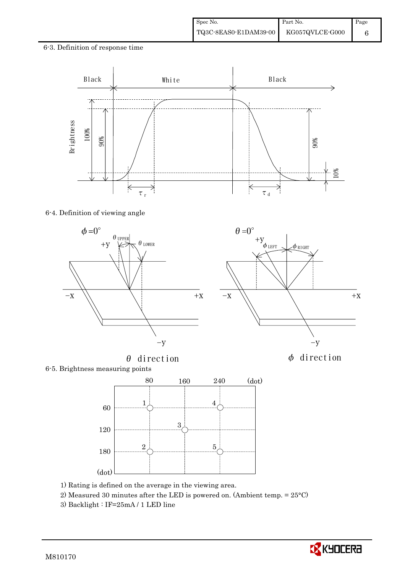## 6-3. Definition of response time



### 6-4. Definition of viewing angle



 $\theta$  direction  $\phi$  direction



6-5. Brightness measuring points



- 1) Rating is defined on the average in the viewing area.
- 2) Measured 30 minutes after the LED is powered on. (Ambient temp. = 25°C)
- 3) Backlight : IF=25mA / 1 LED line

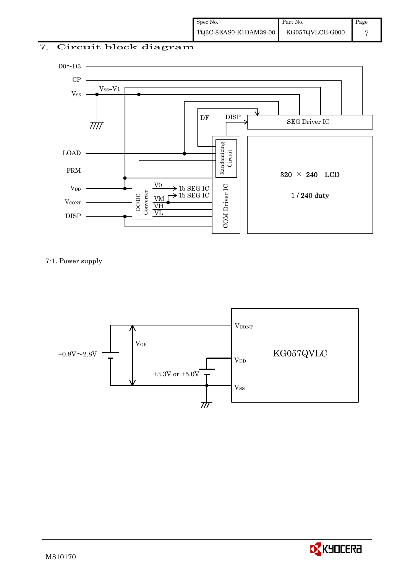# 7. Circuit block diagram



## 7-1. Power supply



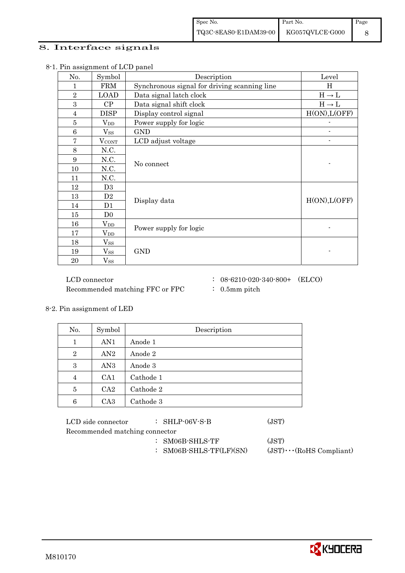## 8. Interface signals

| No.            | Symbol            | Description                                  | Level             |
|----------------|-------------------|----------------------------------------------|-------------------|
| 1              | <b>FRM</b>        | Synchronous signal for driving scanning line | H                 |
| $\overline{2}$ | <b>LOAD</b>       | Data signal latch clock                      | $H\to L$          |
| 3              | CP                | Data signal shift clock                      | $H \rightarrow L$ |
| $\overline{4}$ | <b>DISP</b>       | Display control signal                       | H(ON), L(OFF)     |
| $\overline{5}$ | $V_{DD}$          | Power supply for logic                       |                   |
| 6              | $V_{SS}$          | <b>GND</b>                                   |                   |
| $\overline{7}$ | <b>VCONT</b>      | LCD adjust voltage                           |                   |
| 8              | N.C.              |                                              |                   |
| 9              | N.C.              | No connect                                   |                   |
| 10             | N.C.              |                                              |                   |
| 11             | N.C.              |                                              |                   |
| 12             | D <sub>3</sub>    |                                              |                   |
| 13             | D2                | Display data                                 | H(ON), L(OFF)     |
| 14             | D1                |                                              |                   |
| 15             | D <sub>0</sub>    |                                              |                   |
| 16             | $V_{DD}$          | Power supply for logic                       |                   |
| 17             | $\rm V_{DD}$      |                                              |                   |
| 18             | $V_{SS}$          |                                              |                   |
| 19             | $\mathrm{V_{SS}}$ | <b>GND</b>                                   |                   |
| 20             | $V_{SS}$          |                                              |                   |

8-1. Pin assignment of LCD panel

Recommended matching FFC or FPC : 0.5mm pitch

- $\rm LCD~connector ~~:~~08\mbox{-}6210\mbox{-}020\mbox{-}340\mbox{-}800+~~\mbox{(ELCO)}$ 
	-

8-2. Pin assignment of LED

| No.            | Symbol          | Description |
|----------------|-----------------|-------------|
| 1              | AN1             | Anode 1     |
| $\overline{2}$ | AN2             | Anode 2     |
| 3              | AN <sub>3</sub> | Anode 3     |
| 4              | CA <sub>1</sub> | Cathode 1   |
| 5              | CA2             | Cathode 2   |
| 6              | CA <sub>3</sub> | Cathode 3   |

| LCD side connector             | $:$ SHLP-06V-S-B  | (JST) |
|--------------------------------|-------------------|-------|
| Recommended matching connector |                   |       |
|                                | $:$ SM06B-SHLS-TF | (JST) |

- 
- : SM06B-SHLS-TF(LF)(SN) (JST)・・・(RoHS Compliant)

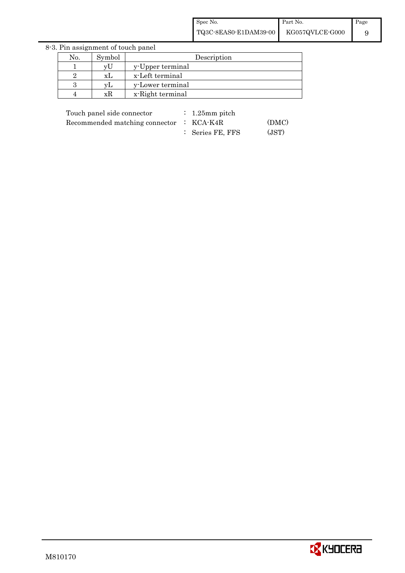8-3. Pin assignment of touch panel

| No. | Symbol | Description      |
|-----|--------|------------------|
|     | vU     | y-Upper terminal |
|     | хI     | x-Left terminal  |
|     |        | y-Lower terminal |
|     | хh     | x-Right terminal |
|     |        |                  |

| Touch panel side connector                          | $\therefore$ 1.25 mm pitch |       |
|-----------------------------------------------------|----------------------------|-------|
| Recommended matching connector $\therefore$ KCA-K4R |                            | (DMC) |
|                                                     | : Series FE, FFS           | (JST) |

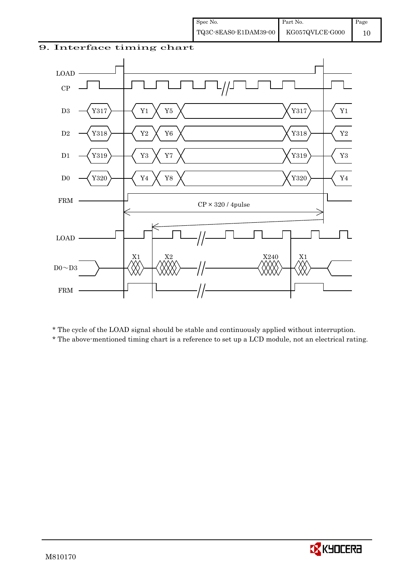## 9. Interface timing chart



\* The cycle of the LOAD signal should be stable and continuously applied without interruption.

\* The above-mentioned timing chart is a reference to set up a LCD module, not an electrical rating.

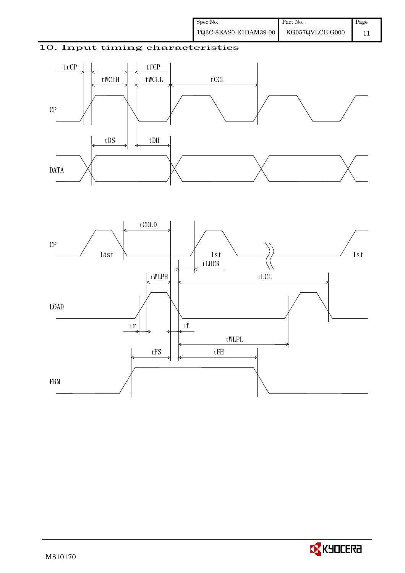# 10. Input timing characteristics





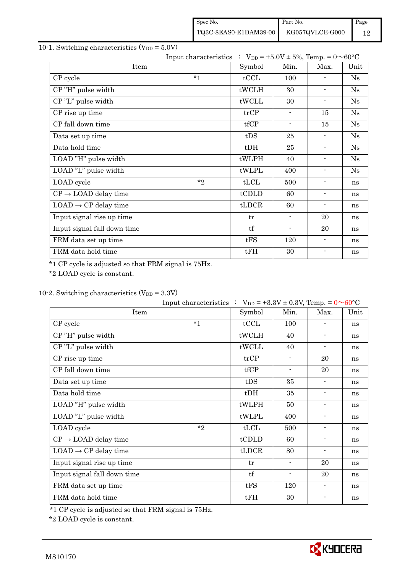| Spec No.              | Part No.        | Page |
|-----------------------|-----------------|------|
| TQ3C-8EAS0-E1DAM39-00 | KG057QVLCE-G000 |      |

# 10-1. Switching characteristics  $(V_{DD} = 5.0V)$

|                                  | Input characteristics : $V_{DD} = +5.0V \pm 5\%$ , Temp. = $0 \sim 60^{\circ}C$ |        |                          |                |               |
|----------------------------------|---------------------------------------------------------------------------------|--------|--------------------------|----------------|---------------|
| Item                             |                                                                                 | Symbol | Min.                     | Max.           | Unit          |
| CP cycle                         | $*1$                                                                            | tCCL   | 100                      |                | $\mathrm{Ns}$ |
| CP"H" pulse width                |                                                                                 | tWCLH  | 30                       |                | Ns            |
| CP"L" pulse width                |                                                                                 | tWCLL  | 30                       | ۰.             | Ns            |
| CP rise up time                  |                                                                                 | trCP   | $\overline{\phantom{a}}$ | 15             | Ns            |
| CP fall down time                |                                                                                 | tfCP   | $\blacksquare$           | 15             | Ns            |
| Data set up time                 |                                                                                 | tDS    | 25                       |                | Ns            |
| Data hold time                   |                                                                                 | $t$ DH | 25                       | $\blacksquare$ | Ns            |
| LOAD "H" pulse width             |                                                                                 | tWLPH  | 40                       | $\sim$         | Ns            |
| LOAD "L" pulse width             |                                                                                 | tWLPL  | 400                      | $\blacksquare$ | Ns            |
| LOAD cycle                       | $*$                                                                             | tLCL   | 500                      |                | ns            |
| $CP \rightarrow$ LOAD delay time |                                                                                 | tCDLD  | 60                       |                | ns            |
| $LOAD \rightarrow CP$ delay time |                                                                                 | tLDCR  | 60                       | $\blacksquare$ | ns            |
| Input signal rise up time        |                                                                                 | tr     | $\blacksquare$           | 20             | ns            |
| Input signal fall down time      |                                                                                 | tf     | $\blacksquare$           | 20             | ns            |
| FRM data set up time             |                                                                                 | tFS    | 120                      |                | ns            |
| FRM data hold time               |                                                                                 | tFH    | 30                       | ٠              | ns            |

\*1 CP cycle is adjusted so that FRM signal is 75Hz.

\*2 LOAD cycle is constant.

# 10-2. Switching characteristics  $(V_{DD} = 3.3V)$

|                                  | Input characteristics : $V_{DD} = +3.3V \pm 0.3V$ , Temp. = $0 \sim 60^{\circ}C$ |                |                          |                          |      |
|----------------------------------|----------------------------------------------------------------------------------|----------------|--------------------------|--------------------------|------|
| Item                             |                                                                                  | Symbol         | Min.                     | Max.                     | Unit |
| CP cycle                         | $*_{1}$                                                                          | tCCL           | 100                      |                          | ns   |
| CP"H" pulse width                |                                                                                  | tWCLH          | 40                       | $\blacksquare$           | ns   |
| CP"L" pulse width                |                                                                                  | tWCLL          | 40                       | $\blacksquare$           | ns   |
| CP rise up time                  |                                                                                  | trCP           | $\blacksquare$           | 20                       | ns   |
| CP fall down time                |                                                                                  | tfCP           | $\overline{\phantom{a}}$ | 20                       | ns   |
| Data set up time                 |                                                                                  | tDS            | 35                       | $\blacksquare$           | ns   |
| Data hold time                   |                                                                                  | $t$ DH         | 35                       | $\blacksquare$           | ns   |
| LOAD "H" pulse width             |                                                                                  | tWLPH          | 50                       | $\blacksquare$           | ns   |
| LOAD "L" pulse width             |                                                                                  | tWLPL          | 400                      | $\blacksquare$           | ns   |
| LOAD cycle                       | $*_{2}$                                                                          | tLCL           | 500                      | $\overline{\phantom{a}}$ | ns   |
| $CP \rightarrow$ LOAD delay time |                                                                                  | tCDLD          | 60                       |                          | ns   |
| $LOAD \rightarrow CP$ delay time |                                                                                  | $t\text{LDCR}$ | 80                       | $\blacksquare$           | ns   |
| Input signal rise up time        |                                                                                  | tr             | $\blacksquare$           | 20                       | ns   |
| Input signal fall down time      |                                                                                  | tf             | $\overline{\phantom{a}}$ | 20                       | ns   |
| FRM data set up time             |                                                                                  | tFS            | 120                      | $\blacksquare$           | ns   |
| FRM data hold time               |                                                                                  | tFH            | 30                       | $\blacksquare$           | ns   |

\*1 CP cycle is adjusted so that FRM signal is 75Hz.

\*2 LOAD cycle is constant.

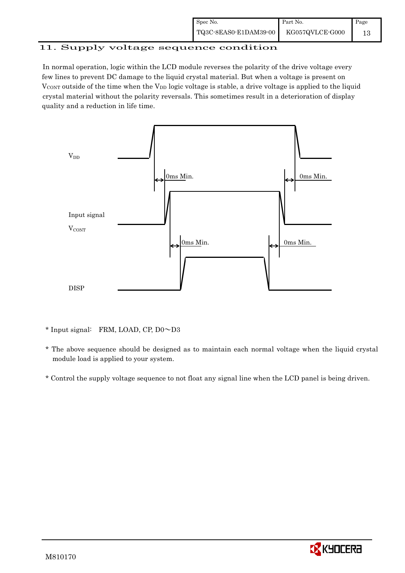| Spec No.              | Part No.        | Page |
|-----------------------|-----------------|------|
| TQ3C-8EAS0-E1DAM39-00 | KG057QVLCE-G000 |      |

# 11. Supply voltage sequence condition

 In normal operation, logic within the LCD module reverses the polarity of the drive voltage every few lines to prevent DC damage to the liquid crystal material. But when a voltage is present on  $V_{\text{CONT}}$  outside of the time when the  $V_{\text{DD}}$  logic voltage is stable, a drive voltage is applied to the liquid crystal material without the polarity reversals. This sometimes result in a deterioration of display quality and a reduction in life time.



\* Input signal: FRM, LOAD, CP, D0~D3

 \* The above sequence should be designed as to maintain each normal voltage when the liquid crystal module load is applied to your system.

\* Control the supply voltage sequence to not float any signal line when the LCD panel is being driven.

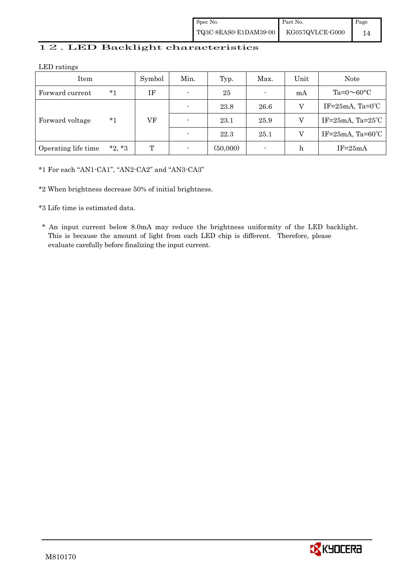| Spec No.              | Part No.        | Page |
|-----------------------|-----------------|------|
| TQ3C-8EAS0-E1DAM39-00 | KG057QVLCE-G000 |      |

# 12. LED Backlight characteristics

LED ratings

| Item                |          | Symbol | Min.                     | Typ.     | Max. | Unit                      | Note                            |  |  |  |  |  |    |                |      |      |   |                         |
|---------------------|----------|--------|--------------------------|----------|------|---------------------------|---------------------------------|--|--|--|--|--|----|----------------|------|------|---|-------------------------|
| Forward current     | $*_{1}$  | ΙF     | $\blacksquare$           | 25       |      | mA                        | Ta= $0 \sim 60$ °C              |  |  |  |  |  |    |                |      |      |   |                         |
|                     |          |        | $\overline{\phantom{0}}$ | 23.8     | 26.6 | v                         | IF= $25mA$ , Ta= $0^{\circ}$ C  |  |  |  |  |  |    |                |      |      |   |                         |
| Forward voltage     | *1       |        |                          |          |      |                           |                                 |  |  |  |  |  | VF | $\blacksquare$ | 23.1 | 25.9 | V | IF= $25mA$ , Ta= $25°C$ |
|                     |          |        | $\overline{a}$           | 22.3     | 25.1 | V                         | IF= $25mA$ , Ta= $60^{\circ}$ C |  |  |  |  |  |    |                |      |      |   |                         |
| Operating life time | $*2, *3$ | T      | ۰                        | (50,000) |      | $\boldsymbol{\mathrm{h}}$ | $IF=25mA$                       |  |  |  |  |  |    |                |      |      |   |                         |

\*1 For each "AN1-CA1", "AN2-CA2" and "AN3-CA3"

\*2 When brightness decrease 50% of initial brightness.

\*3 Life time is estimated data.

 \* An input current below 8.0mA may reduce the brightness uniformity of the LED backlight. This is because the amount of light from each LED chip is different. Therefore, please evaluate carefully before finalizing the input current.

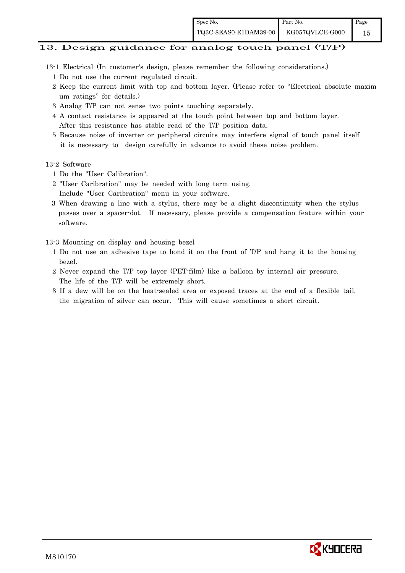### 13. Design guidance for analog touch panel (T/P)

- 13-1 Electrical (In customer's design, please remember the following considerations.)
	- 1 Do not use the current regulated circuit.
	- 2 Keep the current limit with top and bottom layer. (Please refer to "Electrical absolute maxim um ratings" for details.)
	- 3 Analog T/P can not sense two points touching separately.
	- 4 A contact resistance is appeared at the touch point between top and bottom layer. After this resistance has stable read of the T/P position data.
	- 5 Because noise of inverter or peripheral circuits may interfere signal of touch panel itself it is necessary to design carefully in advance to avoid these noise problem.

#### 13-2 Software

- 1 Do the "User Calibration".
- 2 "User Caribration" may be needed with long term using.
- Include "User Caribration" menu in your software.
- 3 When drawing a line with a stylus, there may be a slight discontinuity when the stylus passes over a spacer-dot. If necessary, please provide a compensation feature within your software.

### 13-3 Mounting on display and housing bezel

- 1 Do not use an adhesive tape to bond it on the front of T/P and hang it to the housing bezel.
- 2 Never expand the T/P top layer (PET-film) like a balloon by internal air pressure. The life of the T/P will be extremely short.
- 3 If a dew will be on the heat-sealed area or exposed traces at the end of a flexible tail, the migration of silver can occur. This will cause sometimes a short circuit.

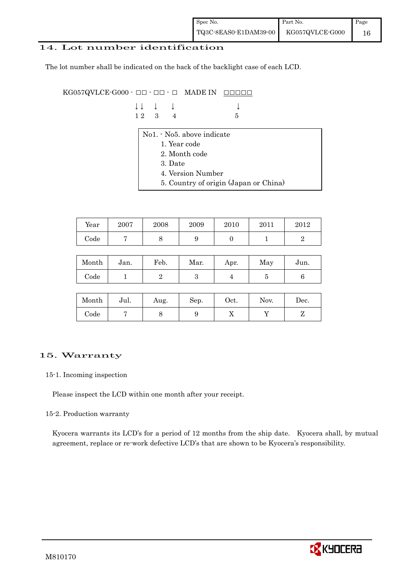| Spec No.              | Part No.        | Page |
|-----------------------|-----------------|------|
| TQ3C-8EAS0-E1DAM39-00 | KG057QVLCE-G000 | 16   |

### 14. Lot number identification

The lot number shall be indicated on the back of the backlight case of each LCD.

 $KG057QVLCE-G000 -  $\Box\Box$  -  $\Box$  -  $\Box$  \nMADE IN \n $\Box\Box\Box\Box\Box$$ 

|  | $\downarrow \downarrow \quad \downarrow \quad \downarrow$ |     |  |
|--|-----------------------------------------------------------|-----|--|
|  | $12 \quad 3 \quad 4$                                      | - 5 |  |

- No1. No5. above indicate
	- 1. Year code
	- 2. Month code
	- 3. Date
	- 4. Version Number
	- 5. Country of origin (Japan or China)

| Year | 2007 | 2008 | 2009 | 2010 | 2011 | $2012\,$ |
|------|------|------|------|------|------|----------|
| Code |      |      | ັ    |      |      |          |

| Month      | Jan. | Feb. | Mar. | Apr. | May | Jun. |
|------------|------|------|------|------|-----|------|
| $\rm Code$ |      |      | ౿    |      |     |      |

| Month | Jul. | Aug. | Sep. | Oct. | Nov. | Dec. |
|-------|------|------|------|------|------|------|
| Code  |      |      |      | ∡⊾   |      |      |

## 15. Warranty

### 15-1. Incoming inspection

Please inspect the LCD within one month after your receipt.

### 15-2. Production warranty

 Kyocera warrants its LCD's for a period of 12 months from the ship date. Kyocera shall, by mutual agreement, replace or re-work defective LCD's that are shown to be Kyocera's responsibility.

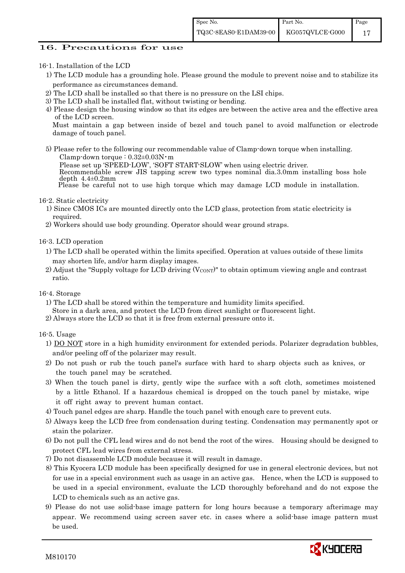### 16. Precautions for use

### 16-1. Installation of the LCD

- 1) The LCD module has a grounding hole. Please ground the module to prevent noise and to stabilize its performance as circumstances demand.
- 2) The LCD shall be installed so that there is no pressure on the LSI chips.
- 3) The LCD shall be installed flat, without twisting or bending.
- 4) Please design the housing window so that its edges are between the active area and the effective area of the LCD screen.

Must maintain a gap between inside of bezel and touch panel to avoid malfunction or electrode damage of touch panel.

5) Please refer to the following our recommendable value of Clamp-down torque when installing. Clamp-down torque : 0.32±0.03N・m

Please set up 'SPEED-LOW', 'SOFT START-SLOW' when using electric driver.

 Recommendable screw JIS tapping screw two types nominal dia.3.0mm installing boss hole depth  $4.4\pm0.2$ mm

Please be careful not to use high torque which may damage LCD module in installation.

16-2. Static electricity

- 1) Since CMOS ICs are mounted directly onto the LCD glass, protection from static electricity is required.
- 2) Workers should use body grounding. Operator should wear ground straps.

16-3. LCD operation

- 1) The LCD shall be operated within the limits specified. Operation at values outside of these limits may shorten life, and/or harm display images.
- 2) Adjust the "Supply voltage for LCD driving  $(V_{\text{CONT}})$ " to obtain optimum viewing angle and contrast ratio.

### 16-4. Storage

- 1) The LCD shall be stored within the temperature and humidity limits specified.
- Store in a dark area, and protect the LCD from direct sunlight or fluorescent light.
- 2) Always store the LCD so that it is free from external pressure onto it.

### 16-5. Usage

- 1) DO NOT store in a high humidity environment for extended periods. Polarizer degradation bubbles, and/or peeling off of the polarizer may result.
- 2) Do not push or rub the touch panel's surface with hard to sharp objects such as knives, or the touch panel may be scratched.
- 3) When the touch panel is dirty, gently wipe the surface with a soft cloth, sometimes moistened by a little Ethanol. If a hazardous chemical is dropped on the touch panel by mistake, wipe it off right away to prevent human contact.
- 4) Touch panel edges are sharp. Handle the touch panel with enough care to prevent cuts.
- 5) Always keep the LCD free from condensation during testing. Condensation may permanently spot or stain the polarizer.
- 6) Do not pull the CFL lead wires and do not bend the root of the wires. Housing should be designed to protect CFL lead wires from external stress.
- 7) Do not disassemble LCD module because it will result in damage.
- 8) This Kyocera LCD module has been specifically designed for use in general electronic devices, but not for use in a special environment such as usage in an active gas. Hence, when the LCD is supposed to be used in a special environment, evaluate the LCD thoroughly beforehand and do not expose the LCD to chemicals such as an active gas.
- 9) Please do not use solid-base image pattern for long hours because a temporary afterimage may appear. We recommend using screen saver etc. in cases where a solid-base image pattern must be used.

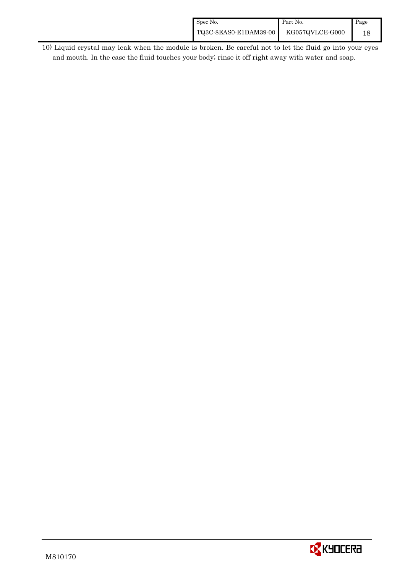| Spec No.              | Part No.        | Page |
|-----------------------|-----------------|------|
| TQ3C-8EAS0-E1DAM39-00 | KG057QVLCE-G000 |      |

 10) Liquid crystal may leak when the module is broken. Be careful not to let the fluid go into your eyes and mouth. In the case the fluid touches your body; rinse it off right away with water and soap.

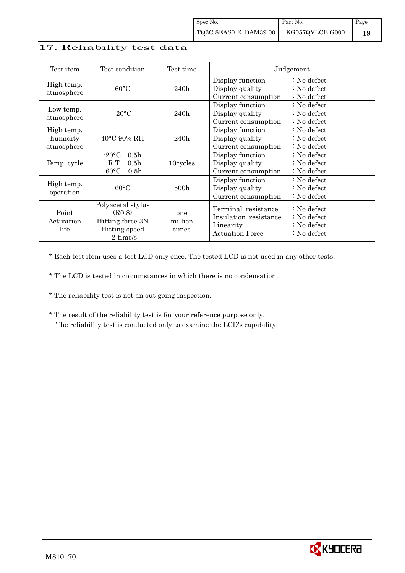## 17. Reliability test data

| Test item                            | Test condition                                                                                           | Test time               |                                                                                     | Judgement                                                           |
|--------------------------------------|----------------------------------------------------------------------------------------------------------|-------------------------|-------------------------------------------------------------------------------------|---------------------------------------------------------------------|
| High temp.<br>atmosphere             | $60^{\circ}$ C                                                                                           | 240h                    | Display function<br>Display quality<br>Current consumption                          | : No defect<br>$\therefore$ No defect<br>: No defect                |
| Low temp.<br>atmosphere              | $-20\degree C$                                                                                           | 240h                    | Display function<br>Display quality<br>Current consumption                          | : No defect<br>$\therefore$ No defect<br>$\therefore$ No defect     |
| High temp.<br>humidity<br>atmosphere | $40^{\circ}$ C 90% RH                                                                                    | 240h                    | Display function<br>Display quality<br>Current consumption                          | : No defect<br>$\therefore$ No defect<br>$\therefore$ No defect     |
| Temp. cycle                          | 0.5 <sub>h</sub><br>$-20\textdegree C$<br>R.T.<br>0.5 <sub>h</sub><br>$60^{\circ}$ C<br>0.5 <sub>h</sub> | 10cycles                | Display function<br>Display quality<br>Current consumption                          | : No defect<br>$\therefore$ No defect<br>$\therefore$ No defect     |
| High temp.<br>operation              | $60^{\circ}$ C                                                                                           | 500h                    | Display function<br>Display quality<br>Current consumption                          | : No defect<br>$\therefore$ No defect<br>: No defect                |
| Point<br>Activation<br>life          | Polyacetal stylus<br>(R0.8)<br>Hitting force 3N<br>Hitting speed<br>2 time/s                             | one<br>million<br>times | Terminal resistance<br>Insulation resistance<br>Linearity<br><b>Actuation Force</b> | : No defect<br>: No defect<br>: No defect<br>$\therefore$ No defect |

\* Each test item uses a test LCD only once. The tested LCD is not used in any other tests.

\* The LCD is tested in circumstances in which there is no condensation.

- \* The reliability test is not an out-going inspection.
- \* The result of the reliability test is for your reference purpose only. The reliability test is conducted only to examine the LCD's capability.

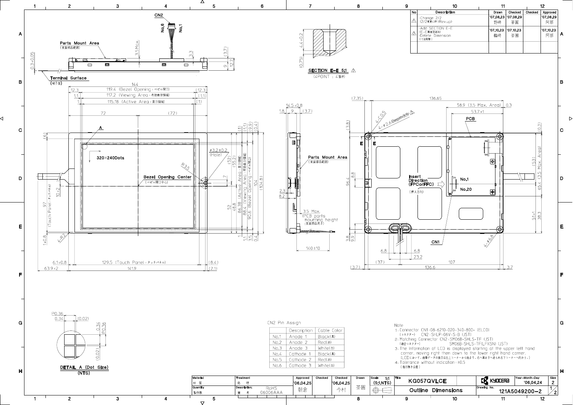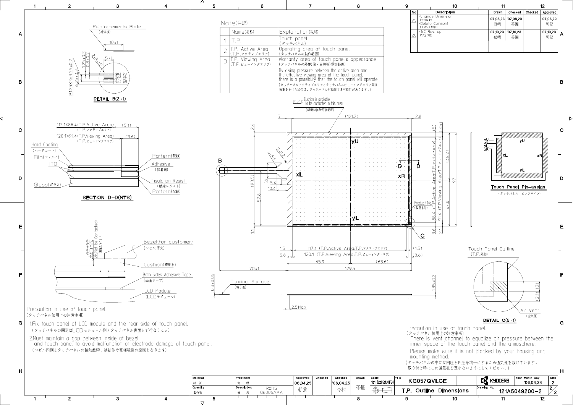

⊲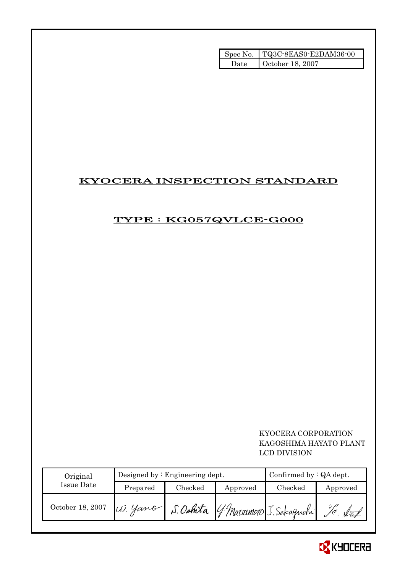|        | Spec No.   TQ3C-8EAS0-E2DAM36-00 |
|--------|----------------------------------|
| ' late | October 18, 2007                 |

# KYOCERA INSPECTION STANDARD

# TYPE : KG057QVLCE-G000

# KYOCERA CORPORATION KAGOSHIMA HAYATO PLANT LCD DIVISION

| Original         |                                                | Designed by $:$ Engineering dept. |          | Confirmed by $:QA$ dept. |          |
|------------------|------------------------------------------------|-----------------------------------|----------|--------------------------|----------|
| Issue Date       | Prepared                                       | Checked                           | Approved | Checked                  | Approved |
| October 18, 2007 | W. Yamo S. Oshita G. Matsumoto J. Sakaguchi 10 |                                   |          |                          |          |

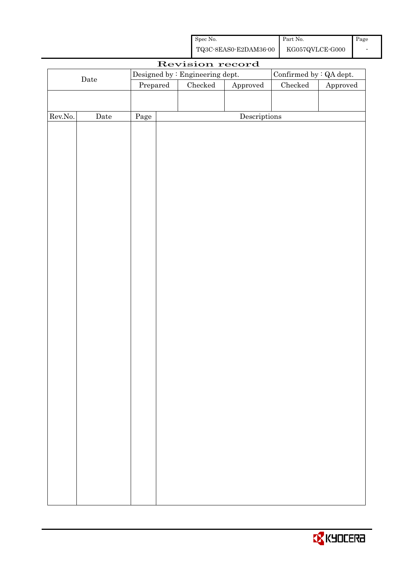| Spec No.              | Part No.        | Page |
|-----------------------|-----------------|------|
| TQ3C-8EAS0-E2DAM36-00 | KG057QVLCE-G000 |      |

|         |                      |          | Revision record                 |                        |                         |          |
|---------|----------------------|----------|---------------------------------|------------------------|-------------------------|----------|
|         |                      |          | Designed by : Engineering dept. |                        | Confirmed by : QA dept. |          |
|         | $\rm{\textbf{Date}}$ | Prepared | Checked                         | ${\Large\bf Approved}$ | $\rm Checked$           | Approved |
|         |                      |          |                                 |                        |                         |          |
|         |                      |          |                                 |                        |                         |          |
| Rev.No. | $\rm{\textbf{Date}}$ | Page     |                                 | Descriptions           |                         |          |
|         |                      |          |                                 |                        |                         |          |
|         |                      |          |                                 |                        |                         |          |
|         |                      |          |                                 |                        |                         |          |
|         |                      |          |                                 |                        |                         |          |
|         |                      |          |                                 |                        |                         |          |
|         |                      |          |                                 |                        |                         |          |
|         |                      |          |                                 |                        |                         |          |
|         |                      |          |                                 |                        |                         |          |
|         |                      |          |                                 |                        |                         |          |
|         |                      |          |                                 |                        |                         |          |
|         |                      |          |                                 |                        |                         |          |
|         |                      |          |                                 |                        |                         |          |
|         |                      |          |                                 |                        |                         |          |
|         |                      |          |                                 |                        |                         |          |
|         |                      |          |                                 |                        |                         |          |
|         |                      |          |                                 |                        |                         |          |
|         |                      |          |                                 |                        |                         |          |
|         |                      |          |                                 |                        |                         |          |
|         |                      |          |                                 |                        |                         |          |
|         |                      |          |                                 |                        |                         |          |
|         |                      |          |                                 |                        |                         |          |
|         |                      |          |                                 |                        |                         |          |
|         |                      |          |                                 |                        |                         |          |
|         |                      |          |                                 |                        |                         |          |
|         |                      |          |                                 |                        |                         |          |
|         |                      |          |                                 |                        |                         |          |
|         |                      |          |                                 |                        |                         |          |
|         |                      |          |                                 |                        |                         |          |
|         |                      |          |                                 |                        |                         |          |
|         |                      |          |                                 |                        |                         |          |
|         |                      |          |                                 |                        |                         |          |
|         |                      |          |                                 |                        |                         |          |
|         |                      |          |                                 |                        |                         |          |
|         |                      |          |                                 |                        |                         |          |
|         |                      |          |                                 |                        |                         |          |

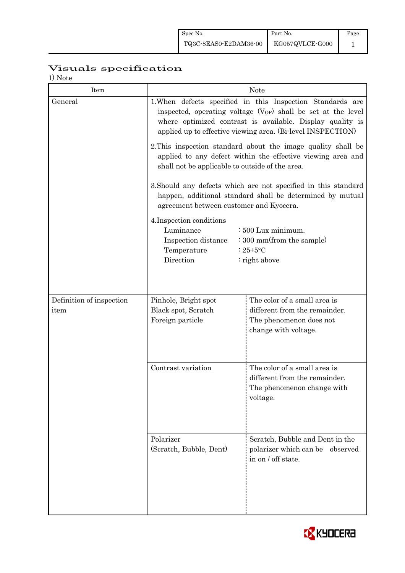# Visuals specification

1) Note

| 17 1 V U U U<br>Item             |                                                                                                                                                                                                                                                                     | <b>Note</b>                                                                                                      |  |  |  |  |
|----------------------------------|---------------------------------------------------------------------------------------------------------------------------------------------------------------------------------------------------------------------------------------------------------------------|------------------------------------------------------------------------------------------------------------------|--|--|--|--|
| General                          | 1. When defects specified in this Inspection Standards are<br>inspected, operating voltage (V <sub>OP</sub> ) shall be set at the level<br>where optimized contrast is available. Display quality is<br>applied up to effective viewing area. (Bi-level INSPECTION) |                                                                                                                  |  |  |  |  |
|                                  | 2. This inspection standard about the image quality shall be<br>applied to any defect within the effective viewing area and<br>shall not be applicable to outside of the area.                                                                                      |                                                                                                                  |  |  |  |  |
|                                  | 3. Should any defects which are not specified in this standard<br>happen, additional standard shall be determined by mutual<br>agreement between customer and Kyocera.                                                                                              |                                                                                                                  |  |  |  |  |
|                                  | 4. Inspection conditions<br>Luminance<br>$\div 500$ Lux minimum.<br>: 300 mm(from the sample)<br>Inspection distance<br>Temperature<br>: $25 \pm 5$ °C<br>Direction<br>: right above                                                                                |                                                                                                                  |  |  |  |  |
|                                  |                                                                                                                                                                                                                                                                     |                                                                                                                  |  |  |  |  |
| Definition of inspection<br>item | Pinhole, Bright spot<br>Black spot, Scratch<br>Foreign particle                                                                                                                                                                                                     | The color of a small area is<br>different from the remainder.<br>The phenomenon does not<br>change with voltage. |  |  |  |  |
|                                  | Contrast variation                                                                                                                                                                                                                                                  | The color of a small area is<br>different from the remainder.<br>The phenomenon change with<br>voltage.          |  |  |  |  |
|                                  | Polarizer<br>(Scratch, Bubble, Dent)                                                                                                                                                                                                                                | Scratch, Bubble and Dent in the<br>polarizer which can be observed<br>in on / off state.                         |  |  |  |  |

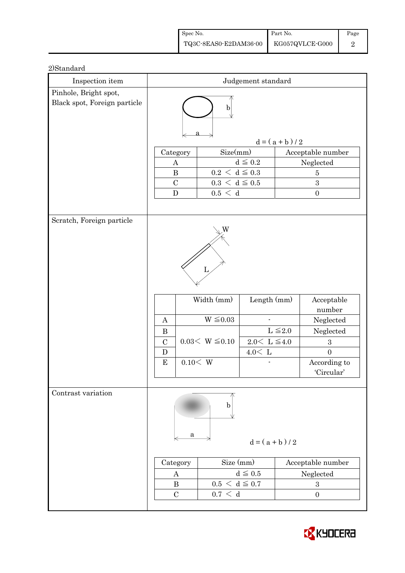| Spec No.                                                                                         | Part No. | Page |
|--------------------------------------------------------------------------------------------------|----------|------|
| $\left. {\rm TQ3C\text{-}SEAS0\text{-}E2DAM36\text{-}00} \right  {\rm - KG057QVLCE\text{-}G000}$ |          |      |

| Inspection item                                       | Judgement standard                                |                             |                        |                |                      |
|-------------------------------------------------------|---------------------------------------------------|-----------------------------|------------------------|----------------|----------------------|
| Pinhole, Bright spot,<br>Black spot, Foreign particle | $\mathbf b$                                       |                             |                        |                |                      |
|                                                       | $d = (a + b) / 2$                                 |                             |                        |                |                      |
|                                                       | Size(mm)<br>Acceptable number<br>Category         |                             |                        |                |                      |
|                                                       | $\boldsymbol{A}$                                  |                             | $d\leqq0.2$            |                | Neglected            |
|                                                       | $\, {\bf B}$<br>$0.2\,<\,\mathrm{d}\leq0.3$       |                             |                        | $\overline{5}$ |                      |
|                                                       | $\mathcal{C}$<br>${\bf D}$                        | $0.3\,<\,\mathrm{d}\leq0.5$ |                        |                | 3                    |
|                                                       |                                                   | 0.5 < d                     |                        |                | $\boldsymbol{0}$     |
| Scratch, Foreign particle                             |                                                   |                             |                        |                |                      |
|                                                       |                                                   |                             |                        |                |                      |
|                                                       |                                                   | Width (mm)                  | Length $(mm)$          |                | Acceptable<br>number |
|                                                       | $\mathbf{A}$                                      | $W \leq 0.03$               |                        |                | Neglected            |
|                                                       | $\bf{B}$                                          |                             |                        | $L \leq 2.0$   | Neglected            |
|                                                       | $\mathcal{C}$                                     | $0.03< W \leq 0.10$         | $2.0<\,$ L $\leq\!4.0$ |                | $\boldsymbol{3}$     |
|                                                       | $\mathbf D$                                       |                             | $4.0<\,$ L             |                | $\overline{0}$       |
|                                                       | 0.10 < W<br>${\bf E}$                             |                             |                        |                | According to         |
|                                                       |                                                   |                             |                        |                | 'Circular'           |
| Contrast variation                                    | a                                                 | b                           | $d = (a + b)/2$        |                |                      |
|                                                       | Size (mm)<br>Acceptable number<br>Category        |                             |                        |                |                      |
|                                                       | A                                                 |                             | $d \leq 0.5$           |                | Neglected            |
|                                                       | $0.5 < d \leq 0.7$<br>$\bf{B}$<br>$\sqrt{3}$      |                             |                        |                |                      |
|                                                       | $0.7\,<\,$ d<br>$\mathcal{C}$<br>$\boldsymbol{0}$ |                             |                        |                |                      |
|                                                       |                                                   |                             |                        |                |                      |

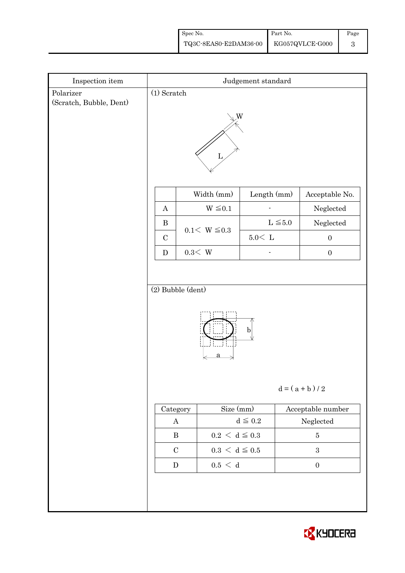| Spec No.                                                                                        | Part No. | Page |
|-------------------------------------------------------------------------------------------------|----------|------|
| $\left. {\rm TQ3C\text{-}SEAS0\text{-}E2DAM36\text{-}00} \right  {\rm -KG057QVLCE\text{-}G000}$ |          |      |

| $\!$ Inspection item    | Judgement standard                                  |                             |              |                      |  |  |
|-------------------------|-----------------------------------------------------|-----------------------------|--------------|----------------------|--|--|
| Polarizer               | $(1)$ Scratch                                       |                             |              |                      |  |  |
| (Scratch, Bubble, Dent) | W<br>Ъ                                              |                             |              |                      |  |  |
|                         |                                                     | Width (mm)                  | Length (mm)  | Acceptable No.       |  |  |
|                         | $\boldsymbol{A}$                                    | $W \leq 0.1$                |              | Neglected            |  |  |
|                         | $\, {\bf B}$                                        | $0.1 < W \le 0.3$           | $L \leq 5.0$ | ${\hbox{Neglected}}$ |  |  |
|                         | $\mathcal{C}$                                       |                             | $5.0\rm <$ L | $\boldsymbol{0}$     |  |  |
|                         | ${\bf D}$                                           | $0.3\rm\!<\,W$              |              | $\boldsymbol{0}$     |  |  |
|                         | (2) Bubble (dent)<br>$\mathbf b$<br>$d = (a + b)/2$ |                             |              |                      |  |  |
|                         | Category                                            | Size (mm)                   |              | Acceptable number    |  |  |
|                         | $\bf{A}$                                            |                             | $d\leqq0.2$  | ${\bf Neglected}$    |  |  |
|                         | $\, {\bf B}$                                        | $0.2\,<\,\mathrm{d}\leq0.3$ |              | $\bf 5$              |  |  |
|                         | $\mathbf C$                                         | $0.3\,<\,\mathrm{d}\leq0.5$ |              | $\sqrt{3}$           |  |  |
|                         | $0.5\,<\,$ d<br>${\bf D}$<br>$\boldsymbol{0}$       |                             |              |                      |  |  |
|                         |                                                     |                             |              |                      |  |  |